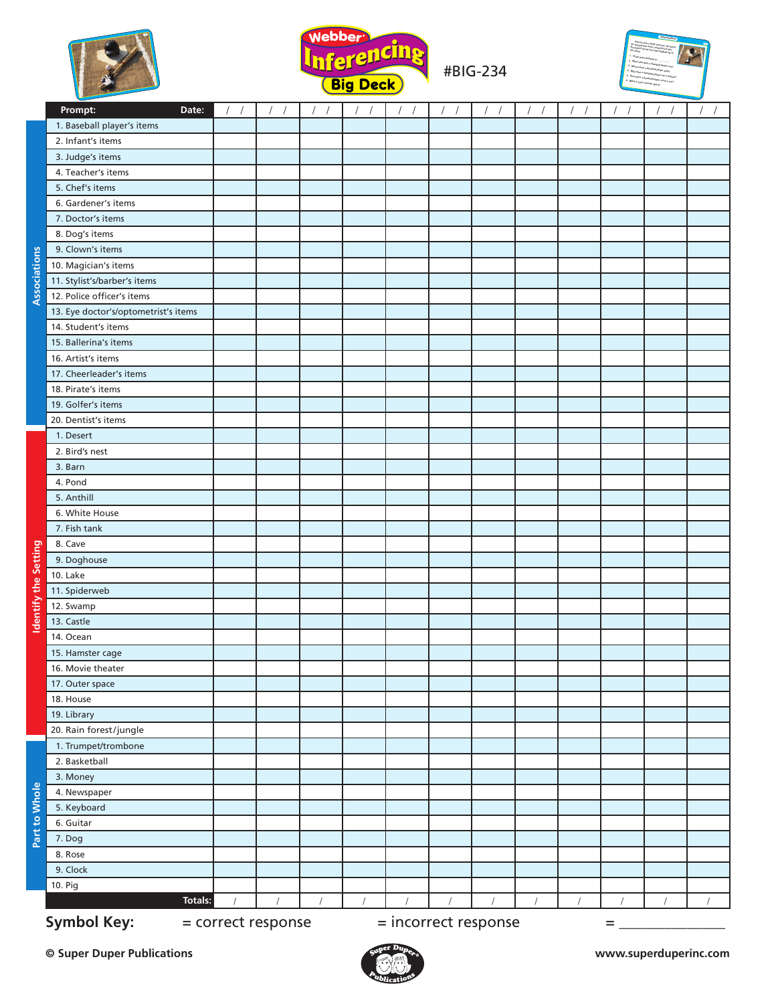



#BIG-234



|                      | Prompt:<br>Date:                                                      | $\frac{1}{2}$ | 11       | 11 | $\frac{1}{2}$ | 11       | 11 | 11       | 11 | $\frac{1}{2}$ | $1 - 1$ | $\frac{1}{2}$ | $\frac{1}{2}$ |
|----------------------|-----------------------------------------------------------------------|---------------|----------|----|---------------|----------|----|----------|----|---------------|---------|---------------|---------------|
| Associations         | 1. Baseball player's items                                            |               |          |    |               |          |    |          |    |               |         |               |               |
|                      | 2. Infant's items                                                     |               |          |    |               |          |    |          |    |               |         |               |               |
|                      | 3. Judge's items                                                      |               |          |    |               |          |    |          |    |               |         |               |               |
|                      | 4. Teacher's items                                                    |               |          |    |               |          |    |          |    |               |         |               |               |
|                      | 5. Chef's items                                                       |               |          |    |               |          |    |          |    |               |         |               |               |
|                      | 6. Gardener's items                                                   |               |          |    |               |          |    |          |    |               |         |               |               |
|                      | 7. Doctor's items                                                     |               |          |    |               |          |    |          |    |               |         |               |               |
|                      | 8. Dog's items                                                        |               |          |    |               |          |    |          |    |               |         |               |               |
|                      | 9. Clown's items                                                      |               |          |    |               |          |    |          |    |               |         |               |               |
|                      | 10. Magician's items                                                  |               |          |    |               |          |    |          |    |               |         |               |               |
|                      | 11. Stylist's/barber's items                                          |               |          |    |               |          |    |          |    |               |         |               |               |
|                      | 12. Police officer's items                                            |               |          |    |               |          |    |          |    |               |         |               |               |
|                      | 13. Eye doctor's/optometrist's items                                  |               |          |    |               |          |    |          |    |               |         |               |               |
|                      | 14. Student's items                                                   |               |          |    |               |          |    |          |    |               |         |               |               |
|                      | 15. Ballerina's items                                                 |               |          |    |               |          |    |          |    |               |         |               |               |
|                      | 16. Artist's items                                                    |               |          |    |               |          |    |          |    |               |         |               |               |
|                      | 17. Cheerleader's items                                               |               |          |    |               |          |    |          |    |               |         |               |               |
|                      | 18. Pirate's items                                                    |               |          |    |               |          |    |          |    |               |         |               |               |
|                      | 19. Golfer's items                                                    |               |          |    |               |          |    |          |    |               |         |               |               |
|                      | 20. Dentist's items                                                   |               |          |    |               |          |    |          |    |               |         |               |               |
|                      | 1. Desert                                                             |               |          |    |               |          |    |          |    |               |         |               |               |
|                      | 2. Bird's nest                                                        |               |          |    |               |          |    |          |    |               |         |               |               |
|                      | 3. Barn                                                               |               |          |    |               |          |    |          |    |               |         |               |               |
|                      | 4. Pond                                                               |               |          |    |               |          |    |          |    |               |         |               |               |
|                      | 5. Anthill                                                            |               |          |    |               |          |    |          |    |               |         |               |               |
|                      | 6. White House                                                        |               |          |    |               |          |    |          |    |               |         |               |               |
|                      | 7. Fish tank                                                          |               |          |    |               |          |    |          |    |               |         |               |               |
|                      | 8. Cave                                                               |               |          |    |               |          |    |          |    |               |         |               |               |
|                      | 9. Doghouse                                                           |               |          |    |               |          |    |          |    |               |         |               |               |
| Identify the Setting | <b>10. Lake</b>                                                       |               |          |    |               |          |    |          |    |               |         |               |               |
|                      | 11. Spiderweb                                                         |               |          |    |               |          |    |          |    |               |         |               |               |
|                      | 12. Swamp                                                             |               |          |    |               |          |    |          |    |               |         |               |               |
|                      | 13. Castle                                                            |               |          |    |               |          |    |          |    |               |         |               |               |
|                      | 14. Ocean                                                             |               |          |    |               |          |    |          |    |               |         |               |               |
|                      | 15. Hamster cage                                                      |               |          |    |               |          |    |          |    |               |         |               |               |
|                      | 16. Movie theater                                                     |               |          |    |               |          |    |          |    |               |         |               |               |
|                      | 17. Outer space                                                       |               |          |    |               |          |    |          |    |               |         |               |               |
|                      | 18. House                                                             |               |          |    |               |          |    |          |    |               |         |               |               |
|                      | 19. Library                                                           |               |          |    |               |          |    |          |    |               |         |               |               |
| Part to Whole        | 20. Rain forest/jungle                                                |               |          |    |               |          |    |          |    |               |         |               |               |
|                      | 1. Trumpet/trombone                                                   |               |          |    |               |          |    |          |    |               |         |               |               |
|                      | 2. Basketball                                                         |               |          |    |               |          |    |          |    |               |         |               |               |
|                      | 3. Money                                                              |               |          |    |               |          |    |          |    |               |         |               |               |
|                      | 4. Newspaper                                                          |               |          |    |               |          |    |          |    |               |         |               |               |
|                      | 5. Keyboard<br>6. Guitar                                              |               |          |    |               |          |    |          |    |               |         |               |               |
|                      |                                                                       |               |          |    |               |          |    |          |    |               |         |               |               |
|                      | 7. Dog<br>8. Rose                                                     |               |          |    |               |          |    |          |    |               |         |               |               |
|                      | 9. Clock                                                              |               |          |    |               |          |    |          |    |               |         |               |               |
|                      | 10. Pig                                                               |               |          |    |               |          |    |          |    |               |         |               |               |
|                      | <b>Totals:</b>                                                        |               | $\prime$ |    | $\sqrt{ }$    | $\prime$ |    | $\prime$ |    | $\prime$      |         |               |               |
|                      |                                                                       |               |          |    |               |          |    |          |    |               |         |               |               |
|                      | <b>Symbol Key:</b><br>= incorrect response<br>= correct response<br>= |               |          |    |               |          |    |          |    |               |         |               |               |

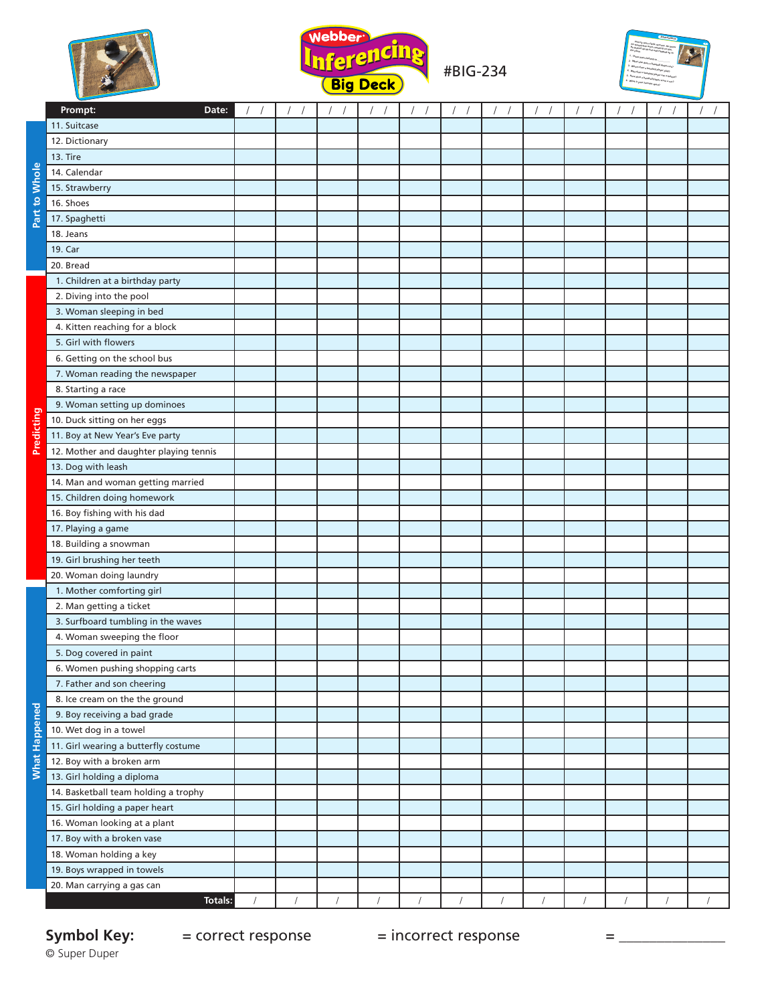



#BIG-234



|                      | Prompt:<br>Date:                                                   | $\sqrt{2}$ | $\sqrt{2}$ | $\sqrt{2}$<br>$\sqrt{ }$ | $\left  \quad \right $ | $\prime$ |  | $\sqrt{ }$<br>$\overline{1}$ | $\sqrt{2}$ |  |
|----------------------|--------------------------------------------------------------------|------------|------------|--------------------------|------------------------|----------|--|------------------------------|------------|--|
| Whole                | 11. Suitcase                                                       |            |            |                          |                        |          |  |                              |            |  |
|                      | 12. Dictionary                                                     |            |            |                          |                        |          |  |                              |            |  |
|                      | 13. Tire                                                           |            |            |                          |                        |          |  |                              |            |  |
|                      | 14. Calendar                                                       |            |            |                          |                        |          |  |                              |            |  |
|                      | 15. Strawberry                                                     |            |            |                          |                        |          |  |                              |            |  |
| $\mathbf{S}$         | 16. Shoes                                                          |            |            |                          |                        |          |  |                              |            |  |
| Part                 | 17. Spaghetti                                                      |            |            |                          |                        |          |  |                              |            |  |
|                      | 18. Jeans                                                          |            |            |                          |                        |          |  |                              |            |  |
|                      | 19. Car                                                            |            |            |                          |                        |          |  |                              |            |  |
|                      | 20. Bread                                                          |            |            |                          |                        |          |  |                              |            |  |
|                      | 1. Children at a birthday party                                    |            |            |                          |                        |          |  |                              |            |  |
|                      | 2. Diving into the pool                                            |            |            |                          |                        |          |  |                              |            |  |
|                      | 3. Woman sleeping in bed                                           |            |            |                          |                        |          |  |                              |            |  |
|                      | 4. Kitten reaching for a block                                     |            |            |                          |                        |          |  |                              |            |  |
|                      | 5. Girl with flowers                                               |            |            |                          |                        |          |  |                              |            |  |
|                      | 6. Getting on the school bus                                       |            |            |                          |                        |          |  |                              |            |  |
|                      | 7. Woman reading the newspaper                                     |            |            |                          |                        |          |  |                              |            |  |
|                      | 8. Starting a race                                                 |            |            |                          |                        |          |  |                              |            |  |
|                      | 9. Woman setting up dominoes                                       |            |            |                          |                        |          |  |                              |            |  |
| <b>Predicting</b>    | 10. Duck sitting on her eggs                                       |            |            |                          |                        |          |  |                              |            |  |
|                      | 11. Boy at New Year's Eve party                                    |            |            |                          |                        |          |  |                              |            |  |
|                      | 12. Mother and daughter playing tennis                             |            |            |                          |                        |          |  |                              |            |  |
|                      | 13. Dog with leash                                                 |            |            |                          |                        |          |  |                              |            |  |
|                      | 14. Man and woman getting married                                  |            |            |                          |                        |          |  |                              |            |  |
|                      | 15. Children doing homework                                        |            |            |                          |                        |          |  |                              |            |  |
|                      | 16. Boy fishing with his dad                                       |            |            |                          |                        |          |  |                              |            |  |
|                      | 17. Playing a game                                                 |            |            |                          |                        |          |  |                              |            |  |
|                      | 18. Building a snowman                                             |            |            |                          |                        |          |  |                              |            |  |
|                      | 19. Girl brushing her teeth                                        |            |            |                          |                        |          |  |                              |            |  |
|                      | 20. Woman doing laundry                                            |            |            |                          |                        |          |  |                              |            |  |
|                      | 1. Mother comforting girl                                          |            |            |                          |                        |          |  |                              |            |  |
|                      | 2. Man getting a ticket                                            |            |            |                          |                        |          |  |                              |            |  |
|                      | 3. Surfboard tumbling in the waves                                 |            |            |                          |                        |          |  |                              |            |  |
|                      | 4. Woman sweeping the floor                                        |            |            |                          |                        |          |  |                              |            |  |
|                      | 5. Dog covered in paint                                            |            |            |                          |                        |          |  |                              |            |  |
|                      | 6. Women pushing shopping carts                                    |            |            |                          |                        |          |  |                              |            |  |
|                      | 7. Father and son cheering                                         |            |            |                          |                        |          |  |                              |            |  |
|                      | 8. Ice cream on the the ground                                     |            |            |                          |                        |          |  |                              |            |  |
|                      | 9. Boy receiving a bad grade                                       |            |            |                          |                        |          |  |                              |            |  |
| <b>What Happened</b> | 10. Wet dog in a towel                                             |            |            |                          |                        |          |  |                              |            |  |
|                      | 11. Girl wearing a butterfly costume                               |            |            |                          |                        |          |  |                              |            |  |
|                      | 12. Boy with a broken arm                                          |            |            |                          |                        |          |  |                              |            |  |
|                      | 13. Girl holding a diploma<br>14. Basketball team holding a trophy |            |            |                          |                        |          |  |                              |            |  |
|                      |                                                                    |            |            |                          |                        |          |  |                              |            |  |
|                      | 15. Girl holding a paper heart<br>16. Woman looking at a plant     |            |            |                          |                        |          |  |                              |            |  |
|                      | 17. Boy with a broken vase                                         |            |            |                          |                        |          |  |                              |            |  |
|                      | 18. Woman holding a key                                            |            |            |                          |                        |          |  |                              |            |  |
|                      | 19. Boys wrapped in towels                                         |            |            |                          |                        |          |  |                              |            |  |
|                      | 20. Man carrying a gas can                                         |            |            |                          |                        |          |  |                              |            |  |
|                      | <b>Totals:</b>                                                     |            |            |                          |                        |          |  |                              |            |  |

## Symbol Key:<br>© Super Duper

**Symbol Key:** = correct response = incorrect response = \_\_\_\_\_\_\_\_\_\_\_\_\_\_